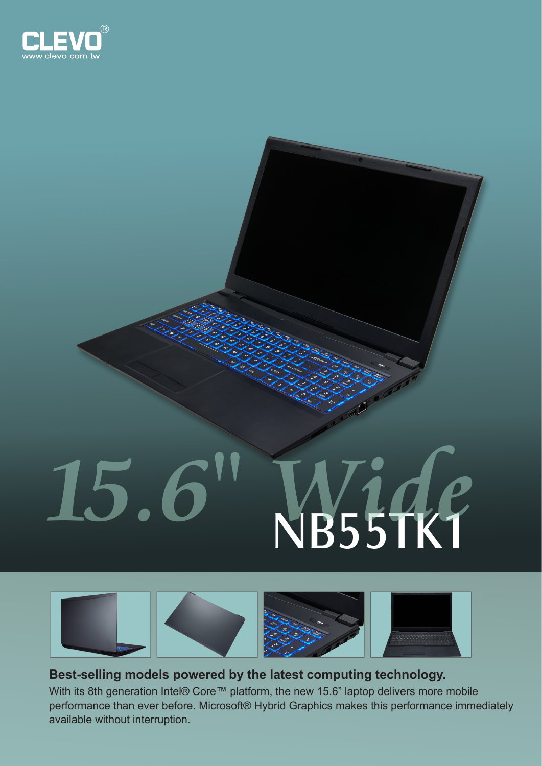

## NB55TK1 **15.6" Wide**



**Best-selling models powered by the latest computing technology.** With its 8th generation Intel® Core™ platform, the new 15.6" laptop delivers more mobile performance than ever before. Microsoft® Hybrid Graphics makes this performance immediately available without interruption.